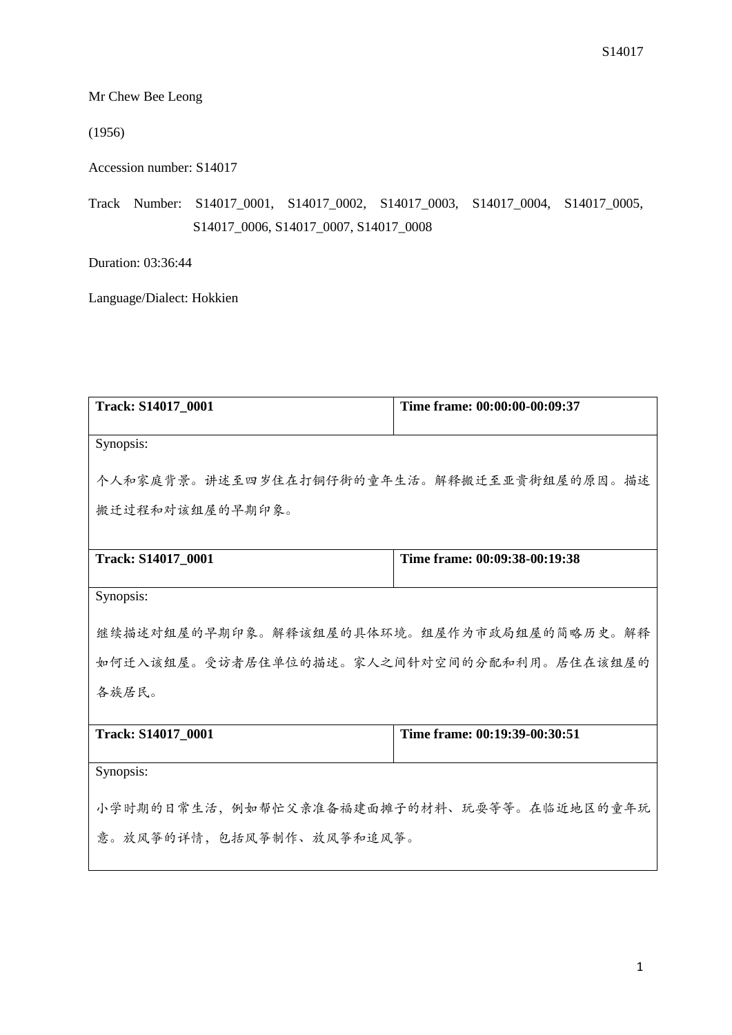Mr Chew Bee Leong

(1956)

Accession number: S14017

Track Number: S14017\_0001, S14017\_0002, S14017\_0003, S14017\_0004, S14017\_0005, S14017\_0006, S14017\_0007, S14017\_0008

Duration: 03:36:44

Language/Dialect: Hokkien

| Time frame: 00:00:00-00:09:37             |  |  |
|-------------------------------------------|--|--|
|                                           |  |  |
| 个人和家庭背景。讲述至四岁住在打铜仔街的童年生活。解释搬迁至亚贵街组屋的原因。描述 |  |  |
|                                           |  |  |
| Time frame: 00:09:38-00:19:38             |  |  |
|                                           |  |  |
|                                           |  |  |
| 继续描述对组屋的早期印象。解释该组屋的具体环境。组屋作为市政局组屋的简略历史。解释 |  |  |
| 如何迁入该组屋。受访者居住单位的描述。家人之间针对空间的分配和利用。居住在该组屋的 |  |  |
| 各族居民。                                     |  |  |
| Time frame: 00:19:39-00:30:51             |  |  |
|                                           |  |  |
| 小学时期的日常生活,例如帮忙父亲准备福建面摊子的材料、玩耍等等。在临近地区的童年玩 |  |  |
| 意。放风筝的详情,包括风筝制作、放风筝和追风筝。                  |  |  |
|                                           |  |  |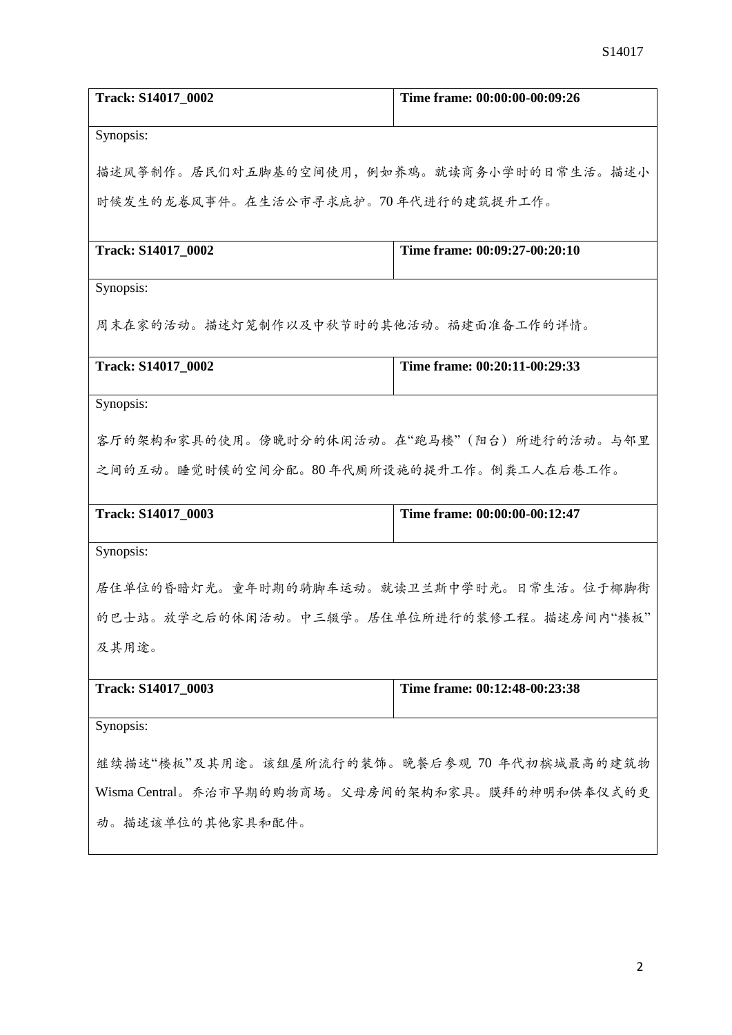| Track: S14017_0002                               | Time frame: 00:00:00-00:09:26 |
|--------------------------------------------------|-------------------------------|
|                                                  |                               |
| Synopsis:                                        |                               |
| 描述风筝制作。居民们对五脚基的空间使用,例如养鸡。就读商务小学时的日常生活。描述小        |                               |
| 时候发生的龙卷风事件。在生活公市寻求庇护。70年代进行的建筑提升工作。              |                               |
|                                                  |                               |
| Track: S14017_0002                               | Time frame: 00:09:27-00:20:10 |
| Synopsis:                                        |                               |
| 周末在家的活动。描述灯笼制作以及中秋节时的其他活动。福建面准备工作的详情。            |                               |
|                                                  |                               |
| Track: S14017_0002                               | Time frame: 00:20:11-00:29:33 |
| Synopsis:                                        |                               |
|                                                  |                               |
| 客厅的架构和家具的使用。傍晚时分的休闲活动。在"跑马楼"(阳台)所进行的活动。与邻里       |                               |
| 之间的互动。睡觉时候的空间分配。80年代厕所设施的提升工作。倒粪工人在后巷工作。         |                               |
| Track: S14017_0003                               | Time frame: 00:00:00-00:12:47 |
| Synopsis:                                        |                               |
|                                                  |                               |
| 居住单位的昏暗灯光。童年时期的骑脚车运动。就读卫兰斯中学时光。日常生活。位于椰脚街        |                               |
| 的巴士站。放学之后的休闲活动。中三辍学。居住单位所进行的装修工程。描述房间内"楼板"       |                               |
| 及其用途。                                            |                               |
| Track: S14017_0003                               | Time frame: 00:12:48-00:23:38 |
|                                                  |                               |
| Synopsis:                                        |                               |
| 继续描述"楼板"及其用途。该组屋所流行的装饰。晚餐后参观70年代初槟城最高的建筑物        |                               |
| Wisma Central。乔治市早期的购物商场。父母房间的架构和家具。膜拜的神明和供奉仪式的更 |                               |
| 动。描述该单位的其他家具和配件。                                 |                               |
|                                                  |                               |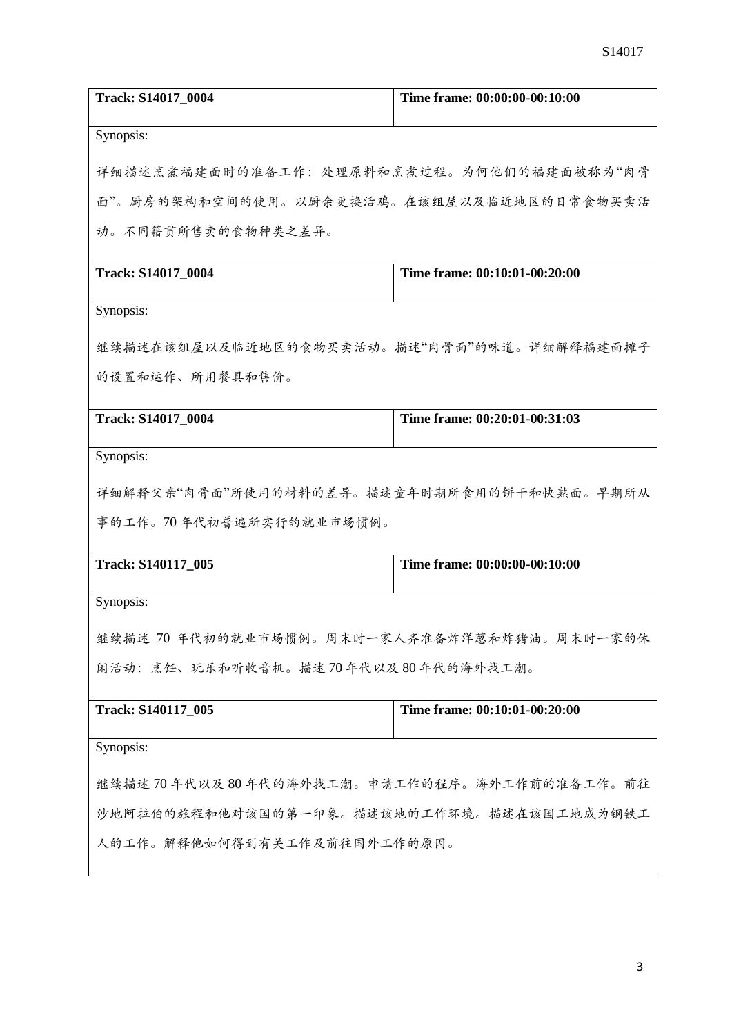| Track: S14017_0004                             | Time frame: 00:00:00-00:10:00 |  |
|------------------------------------------------|-------------------------------|--|
| Synopsis:                                      |                               |  |
| 详细描述烹煮福建面时的准备工作:处理原料和烹煮过程。为何他们的福建面被称为"肉骨       |                               |  |
| 面"。厨房的架构和空间的使用。以厨余更换活鸡。在该组屋以及临近地区的日常食物买卖活      |                               |  |
| 动。不同籍贯所售卖的食物种类之差异。                             |                               |  |
| Track: S14017_0004                             | Time frame: 00:10:01-00:20:00 |  |
| Synopsis:                                      |                               |  |
| 继续描述在该组屋以及临近地区的食物买卖活动。描述"肉骨面"的味道。详细解释福建面摊子     |                               |  |
| 的设置和运作、所用餐具和售价。                                |                               |  |
| Track: S14017_0004                             | Time frame: 00:20:01-00:31:03 |  |
| Synopsis:                                      |                               |  |
| 详细解释父亲"肉骨面"所使用的材料的差异。描述童年时期所食用的饼干和快熟面。早期所从     |                               |  |
| 事的工作。70年代初普遍所实行的就业市场惯例。                        |                               |  |
| Track: S140117_005                             | Time frame: 00:00:00-00:10:00 |  |
| Synopsis:                                      |                               |  |
| 继续描述 70 年代初的就业市场惯例。周末时一家人齐准备炸洋葱和炸猪油。周末时一家的休    |                               |  |
| 闲活动: 烹饪、玩乐和听收音机。描述70年代以及80年代的海外找工潮。            |                               |  |
| Track: S140117 005                             | Time frame: 00:10:01-00:20:00 |  |
| Synopsis:                                      |                               |  |
| 继续描述 70 年代以及 80 年代的海外找工潮。申请工作的程序。海外工作前的准备工作。前往 |                               |  |
| 沙地阿拉伯的旅程和他对该国的第一印象。描述该地的工作环境。描述在该国工地成为钢铁工      |                               |  |
| 人的工作。解释他如何得到有关工作及前往国外工作的原因。                    |                               |  |
|                                                |                               |  |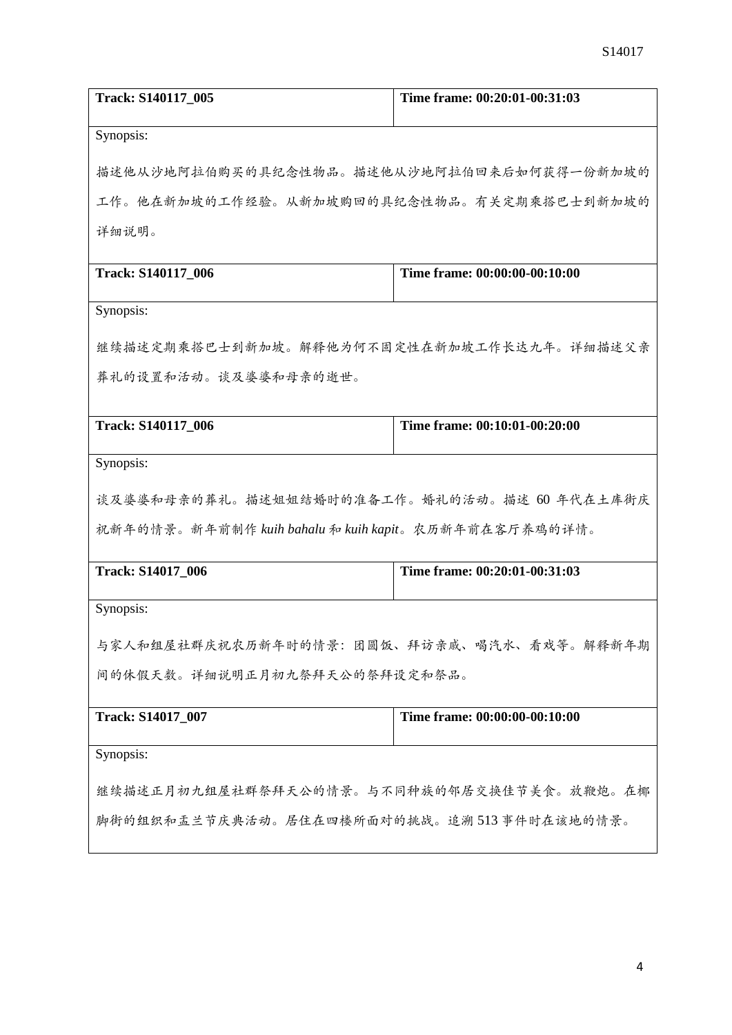| Track: S140117_005                                   | Time frame: 00:20:01-00:31:03 |  |
|------------------------------------------------------|-------------------------------|--|
| Synopsis:                                            |                               |  |
| 描述他从沙地阿拉伯购买的具纪念性物品。描述他从沙地阿拉伯回来后如何获得一份新加坡的            |                               |  |
| 工作。他在新加坡的工作经验。从新加坡购回的具纪念性物品。有关定期乘搭巴士到新加坡的            |                               |  |
| 详细说明。                                                |                               |  |
| Track: S140117_006                                   | Time frame: 00:00:00-00:10:00 |  |
| Synopsis:                                            |                               |  |
| 继续描述定期乘搭巴士到新加坡。解释他为何不固定性在新加坡工作长达九年。详细描述父亲            |                               |  |
| 葬礼的设置和活动。谈及婆婆和母亲的逝世。                                 |                               |  |
| Track: S140117_006                                   | Time frame: 00:10:01-00:20:00 |  |
|                                                      |                               |  |
| Synopsis:                                            |                               |  |
| 谈及婆婆和母亲的葬礼。描述姐姐结婚时的准备工作。婚礼的活动。描述 60 年代在土库街庆          |                               |  |
| 祝新年的情景。新年前制作 kuih bahalu 和 kuih kapit。农历新年前在客厅养鸡的详情。 |                               |  |
| <b>Track: S14017 006</b>                             | Time frame: 00:20:01-00:31:03 |  |
| Synopsis:                                            |                               |  |
| 与家人和组屋社群庆祝农历新年时的情景: 团圆饭、拜访亲戚、喝汽水、看戏等。解释新年期           |                               |  |
| 间的休假天数。详细说明正月初九祭拜天公的祭拜设定和祭品。                         |                               |  |
| <b>Track: S14017_007</b>                             | Time frame: 00:00:00-00:10:00 |  |
| Synopsis:                                            |                               |  |
| 继续描述正月初九组屋社群祭拜天公的情景。与不同种族的邻居交换佳节美食。放鞭炮。在椰            |                               |  |
| 脚街的组织和盂兰节庆典活动。居住在四楼所面对的挑战。追溯513 事件时在该地的情景。           |                               |  |
|                                                      |                               |  |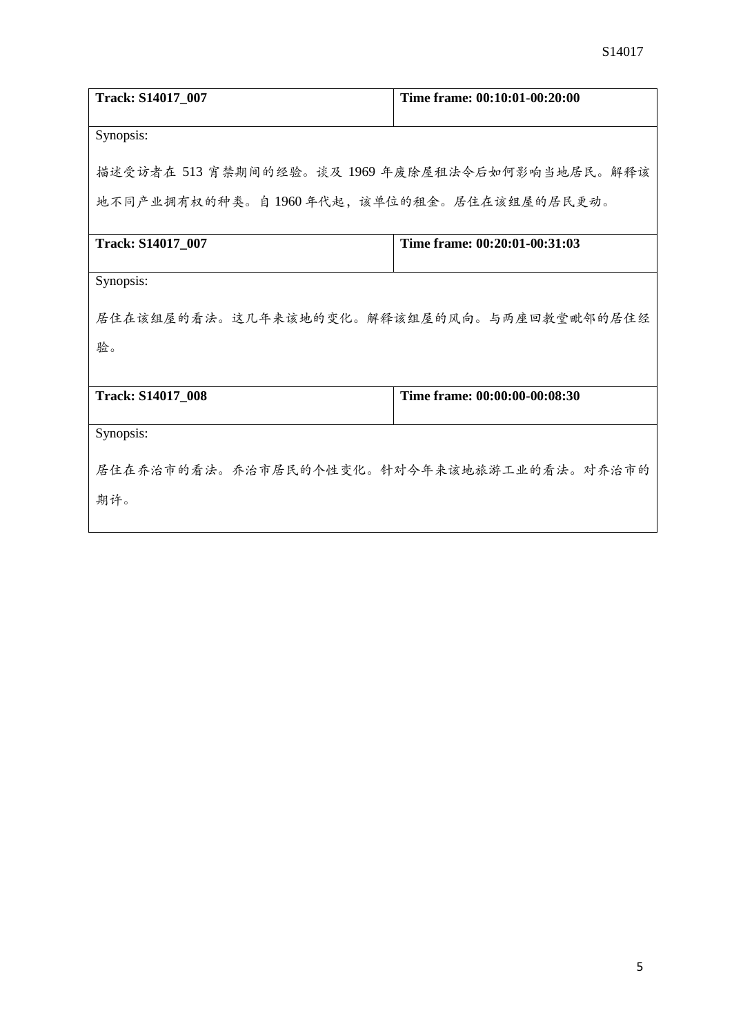| Track: S14017_007                               | Time frame: 00:10:01-00:20:00 |  |
|-------------------------------------------------|-------------------------------|--|
|                                                 |                               |  |
| Synopsis:                                       |                               |  |
|                                                 |                               |  |
| 描述受访者在 513 宵禁期间的经验。谈及 1969 年废除屋租法令后如何影响当地居民。解释该 |                               |  |
| 地不同产业拥有权的种类。自1960年代起,该单位的租金。居住在该组屋的居民更动。        |                               |  |
|                                                 |                               |  |
| <b>Track: S14017_007</b>                        | Time frame: 00:20:01-00:31:03 |  |
|                                                 |                               |  |
| Synopsis:                                       |                               |  |
|                                                 |                               |  |
| 居住在该组屋的看法。这几年来该地的变化。解释该组屋的风向。与两座回教堂毗邻的居住经       |                               |  |
| 验。                                              |                               |  |
|                                                 |                               |  |
| <b>Track: S14017 008</b>                        | Time frame: 00:00:00-00:08:30 |  |
|                                                 |                               |  |
| Synopsis:                                       |                               |  |
|                                                 |                               |  |
| 居住在乔治市的看法。乔治市居民的个性变化。针对今年来该地旅游工业的看法。对乔治市的       |                               |  |
| 期许。                                             |                               |  |
|                                                 |                               |  |

 $\overline{\phantom{a}}$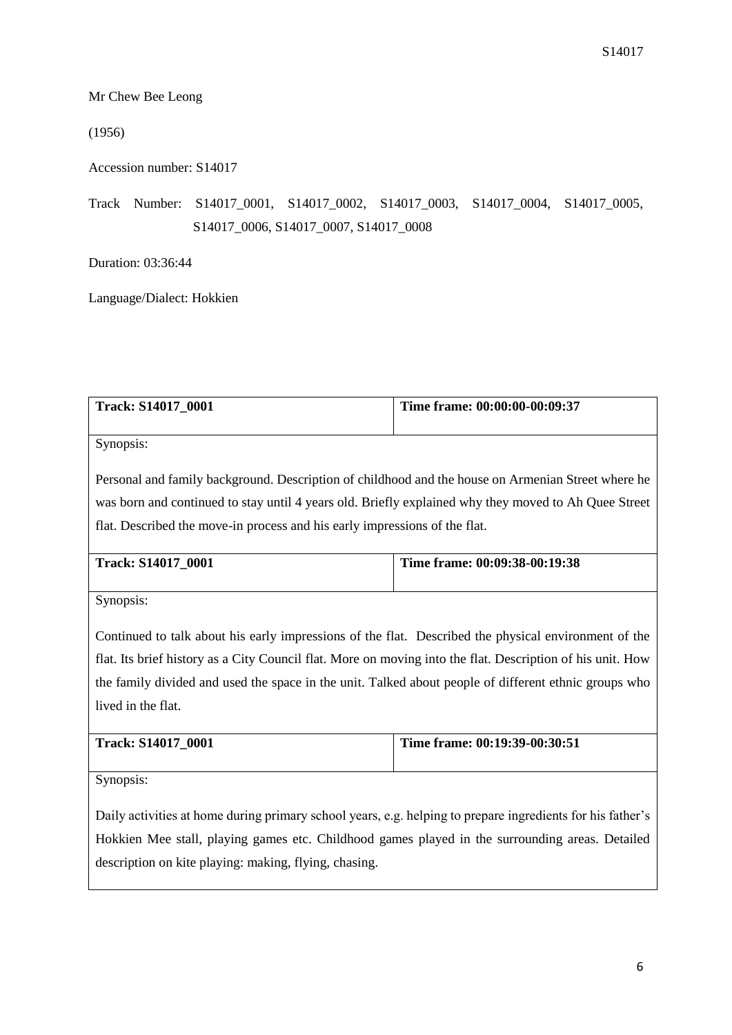Mr Chew Bee Leong

(1956)

Accession number: S14017

Track Number: S14017\_0001, S14017\_0002, S14017\_0003, S14017\_0004, S14017\_0005, S14017\_0006, S14017\_0007, S14017\_0008

Duration: 03:36:44

Language/Dialect: Hokkien

| Track: S14017 0001 | Time frame: 00:00:00-00:09:37 |
|--------------------|-------------------------------|
|                    |                               |

Synopsis:

Personal and family background. Description of childhood and the house on Armenian Street where he was born and continued to stay until 4 years old. Briefly explained why they moved to Ah Quee Street flat. Described the move-in process and his early impressions of the flat.

| <b>Track: S14017 0001</b> | Time frame: 00:09:38-00:19:38 |
|---------------------------|-------------------------------|
|                           |                               |

Synopsis:

Continued to talk about his early impressions of the flat. Described the physical environment of the flat. Its brief history as a City Council flat. More on moving into the flat. Description of his unit. How the family divided and used the space in the unit. Talked about people of different ethnic groups who lived in the flat.

| Track: S14017 0001 | Time frame: $00:19:39-00:30:51$ |
|--------------------|---------------------------------|
|                    |                                 |

Synopsis:

Daily activities at home during primary school years, e.g. helping to prepare ingredients for his father's Hokkien Mee stall, playing games etc. Childhood games played in the surrounding areas. Detailed description on kite playing: making, flying, chasing.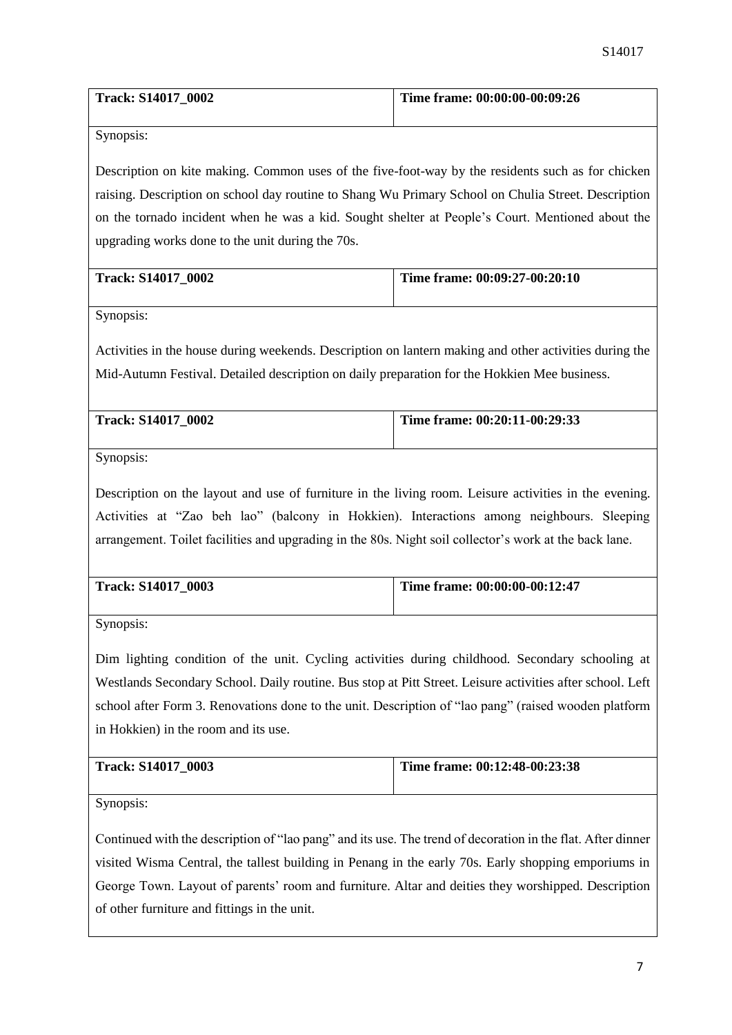| <b>Track: S14017 0002</b> | Time frame: 00:00:00-00:09:26 |
|---------------------------|-------------------------------|
|                           |                               |

Description on kite making. Common uses of the five-foot-way by the residents such as for chicken raising. Description on school day routine to Shang Wu Primary School on Chulia Street. Description on the tornado incident when he was a kid. Sought shelter at People's Court. Mentioned about the upgrading works done to the unit during the 70s.

| <b>Track: S14017 0002</b> | Time frame: $00:09:27-00:20:10$ |
|---------------------------|---------------------------------|
|                           |                                 |

Synopsis:

Activities in the house during weekends. Description on lantern making and other activities during the Mid-Autumn Festival. Detailed description on daily preparation for the Hokkien Mee business.

| <b>Track: S14017 0002</b> | Time frame: 00:20:11-00:29:33 |
|---------------------------|-------------------------------|
|                           |                               |

Synopsis:

Description on the layout and use of furniture in the living room. Leisure activities in the evening. Activities at "Zao beh lao" (balcony in Hokkien). Interactions among neighbours. Sleeping arrangement. Toilet facilities and upgrading in the 80s. Night soil collector's work at the back lane.

| <b>Track: S14017 0003</b> | Time frame: 00:00:00-00:12:47 |
|---------------------------|-------------------------------|
|                           |                               |

Synopsis:

Dim lighting condition of the unit. Cycling activities during childhood. Secondary schooling at Westlands Secondary School. Daily routine. Bus stop at Pitt Street. Leisure activities after school. Left school after Form 3. Renovations done to the unit. Description of "lao pang" (raised wooden platform in Hokkien) in the room and its use.

| <b>Track: S14017 0003</b> | Time frame: $00:12:48-00:23:38$ |
|---------------------------|---------------------------------|
|                           |                                 |

Synopsis:

Continued with the description of "lao pang" and its use. The trend of decoration in the flat. After dinner visited Wisma Central, the tallest building in Penang in the early 70s. Early shopping emporiums in George Town. Layout of parents' room and furniture. Altar and deities they worshipped. Description of other furniture and fittings in the unit.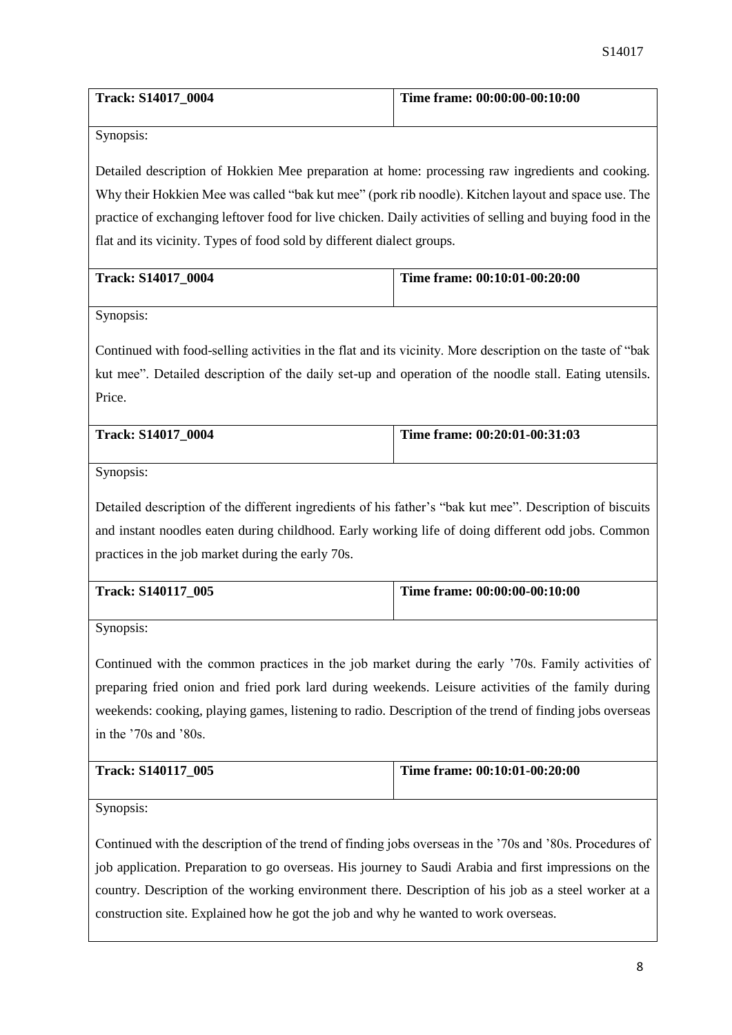| <b>Track: S14017 0004</b> | Time frame: 00:00:00-00:10:00 |
|---------------------------|-------------------------------|
|                           |                               |

Detailed description of Hokkien Mee preparation at home: processing raw ingredients and cooking. Why their Hokkien Mee was called "bak kut mee" (pork rib noodle). Kitchen layout and space use. The practice of exchanging leftover food for live chicken. Daily activities of selling and buying food in the flat and its vicinity. Types of food sold by different dialect groups.

| <b>Track: S14017 0004</b> | Time frame: $00:10:01-00:20:00$ |
|---------------------------|---------------------------------|
|                           |                                 |

Synopsis:

Continued with food-selling activities in the flat and its vicinity. More description on the taste of "bak kut mee". Detailed description of the daily set-up and operation of the noodle stall. Eating utensils. Price.

| <b>Track: S14017 0004</b> | Time frame: 00:20:01-00:31:03 |
|---------------------------|-------------------------------|
|                           |                               |

Synopsis:

Detailed description of the different ingredients of his father's "bak kut mee". Description of biscuits and instant noodles eaten during childhood. Early working life of doing different odd jobs. Common practices in the job market during the early 70s.

| <b>Track: S140117 005</b> | Time frame: 00:00:00-00:10:00 |
|---------------------------|-------------------------------|
|                           |                               |

Synopsis:

Continued with the common practices in the job market during the early '70s. Family activities of preparing fried onion and fried pork lard during weekends. Leisure activities of the family during weekends: cooking, playing games, listening to radio. Description of the trend of finding jobs overseas in the '70s and '80s.

| Track: S140117 005 | Time frame: 00:10:01-00:20:00 |
|--------------------|-------------------------------|
|                    |                               |

Synopsis:

Continued with the description of the trend of finding jobs overseas in the '70s and '80s. Procedures of job application. Preparation to go overseas. His journey to Saudi Arabia and first impressions on the country. Description of the working environment there. Description of his job as a steel worker at a construction site. Explained how he got the job and why he wanted to work overseas.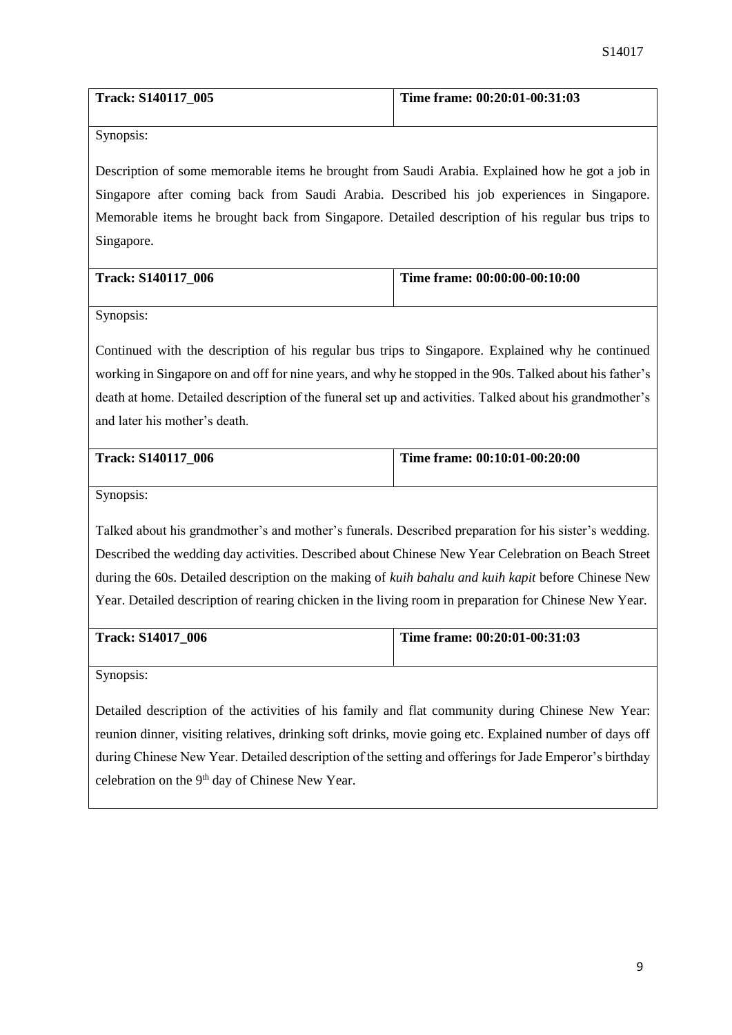| Track: S140117 005 | Time frame: $00:20:01-00:31:03$ |
|--------------------|---------------------------------|
|                    |                                 |

Description of some memorable items he brought from Saudi Arabia. Explained how he got a job in Singapore after coming back from Saudi Arabia. Described his job experiences in Singapore. Memorable items he brought back from Singapore. Detailed description of his regular bus trips to Singapore.

| <b>Track: S140117 006</b> | Time frame: 00:00:00-00:10:00 |
|---------------------------|-------------------------------|
|                           |                               |

Synopsis:

Continued with the description of his regular bus trips to Singapore. Explained why he continued working in Singapore on and off for nine years, and why he stopped in the 90s. Talked about his father's death at home. Detailed description of the funeral set up and activities. Talked about his grandmother's and later his mother's death.

| <b>Track: S140117 006</b> | Time frame: 00:10:01-00:20:00 |
|---------------------------|-------------------------------|
|                           |                               |

Synopsis:

Talked about his grandmother's and mother's funerals. Described preparation for his sister's wedding. Described the wedding day activities. Described about Chinese New Year Celebration on Beach Street during the 60s. Detailed description on the making of *kuih bahalu and kuih kapit* before Chinese New Year. Detailed description of rearing chicken in the living room in preparation for Chinese New Year.

| <b>Track: S14017 006</b> | Time frame: $00:20:01-00:31:03$ |
|--------------------------|---------------------------------|
|                          |                                 |

Synopsis:

Detailed description of the activities of his family and flat community during Chinese New Year: reunion dinner, visiting relatives, drinking soft drinks, movie going etc. Explained number of days off during Chinese New Year. Detailed description of the setting and offerings for Jade Emperor's birthday celebration on the 9<sup>th</sup> day of Chinese New Year.